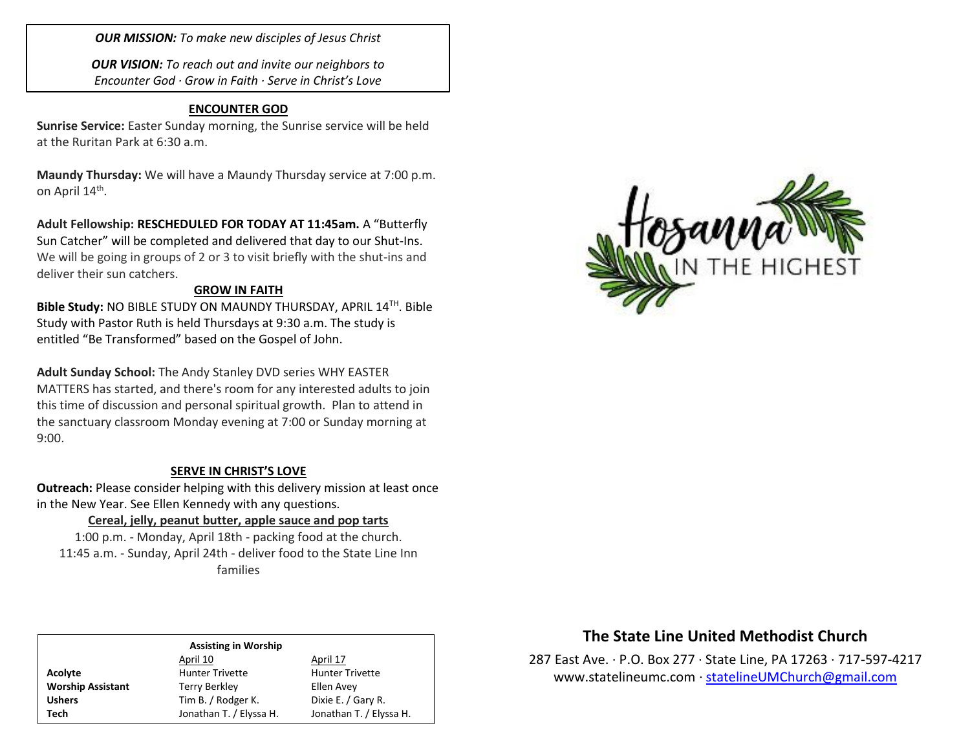*OUR MISSION: To make new disciples of Jesus Christ*

*OUR VISION: To reach out and invite our neighbors to Encounter God · Grow in Faith · Serve in Christ's Love*

## **ENCOUNTER GOD**

**Sunrise Service:** Easter Sunday morning, the Sunrise service will be held at the Ruritan Park at 6:30 a.m.

**Maundy Thursday:** We will have a Maundy Thursday service at 7:00 p.m. on April 14<sup>th</sup>.

**Adult Fellowship: RESCHEDULED FOR TODAY AT 11:45am.** A "Butterfly Sun Catcher" will be completed and delivered that day to our Shut-Ins. We will be going in groups of 2 or 3 to visit briefly with the shut-ins and deliver their sun catchers.

## **GROW IN FAITH**

**Bible Study:** NO BIBLE STUDY ON MAUNDY THURSDAY, APRIL 14TH . Bible Study with Pastor Ruth is held Thursdays at 9:30 a.m. The study is entitled "Be Transformed" based on the Gospel of John.

**Adult Sunday School:** The Andy Stanley DVD series WHY EASTER MATTERS has started, and there's room for any interested adults to join this time of discussion and personal spiritual growth. Plan to attend in the sanctuary classroom Monday evening at 7:00 or Sunday morning at 9:00.

## **SERVE IN CHRIST'S LOVE**

**Outreach:** Please consider helping with this delivery mission at least once in the New Year. See Ellen Kennedy with any questions.

## **Cereal, jelly, peanut butter, apple sauce and pop tarts**

1:00 p.m. - Monday, April 18th - packing food at the church. 11:45 a.m. - Sunday, April 24th - deliver food to the State Line Inn families



# **The State Line United Methodist Church**

287 East Ave. · P.O. Box 277 · State Line, PA 17263 · 717-597-4217 [www.statelineumc.com](http://www.statelineumc.com/) · [statelineUMChurch@gmail.com](mailto:statelineUMChurch@gmail.com)

#### **Assisting in Worship**

April 10 April 17 Acolyte **Acolyte** Hunter Trivette **Hunter Trivette Worship Assistant** Terry Berkley **Terry Berkley** Ellen Avey Ushers Tim B. / Rodger K. Dixie E. / Gary R. **Tech** Jonathan T. / Elyssa H. Jonathan T. / Elyssa H.